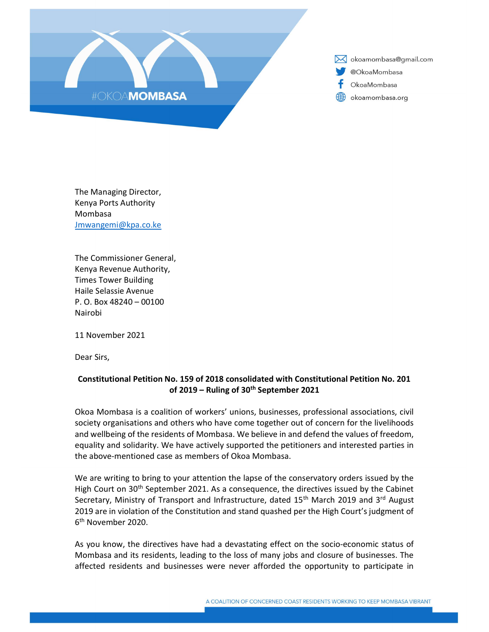

X okoamombasa@gmail.com @OkoaMombasa OkoaMombasa (#) okoamombasa.org

The Managing Director, Kenya Ports Authority Mombasa Jmwangemi@kpa.co.ke

The Commissioner General, Kenya Revenue Authority, Times Tower Building Haile Selassie Avenue P. O. Box 48240 – 00100 Nairobi

11 November 2021

Dear Sirs,

## Constitutional Petition No. 159 of 2018 consolidated with Constitutional Petition No. 201 of 2019 – Ruling of  $30<sup>th</sup>$  September 2021

Okoa Mombasa is a coalition of workers' unions, businesses, professional associations, civil society organisations and others who have come together out of concern for the livelihoods and wellbeing of the residents of Mombasa. We believe in and defend the values of freedom, equality and solidarity. We have actively supported the petitioners and interested parties in the above-mentioned case as members of Okoa Mombasa.

We are writing to bring to your attention the lapse of the conservatory orders issued by the High Court on  $30<sup>th</sup>$  September 2021. As a consequence, the directives issued by the Cabinet Secretary, Ministry of Transport and Infrastructure, dated 15<sup>th</sup> March 2019 and 3<sup>rd</sup> August 2019 are in violation of the Constitution and stand quashed per the High Court's judgment of 6<sup>th</sup> November 2020.

As you know, the directives have had a devastating effect on the socio-economic status of Mombasa and its residents, leading to the loss of many jobs and closure of businesses. The affected residents and businesses were never afforded the opportunity to participate in